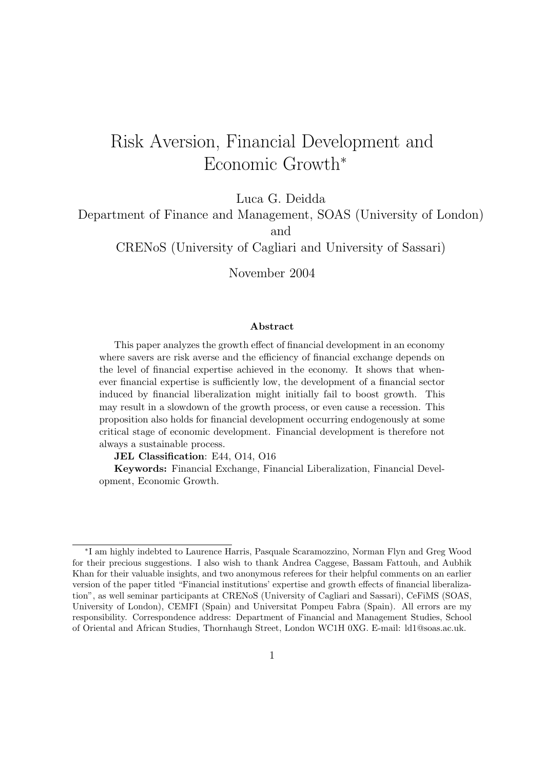# Risk Aversion, Financial Development and Economic Growth<sup>∗</sup>

Luca G. Deidda

Department of Finance and Management, SOAS (University of London) and

CRENoS (University of Cagliari and University of Sassari)

November 2004

#### **Abstract**

This paper analyzes the growth effect of financial development in an economy where savers are risk averse and the efficiency of financial exchange depends on the level of financial expertise achieved in the economy. It shows that whenever financial expertise is sufficiently low, the development of a financial sector induced by financial liberalization might initially fail to boost growth. This may result in a slowdown of the growth process, or even cause a recession. This proposition also holds for financial development occurring endogenously at some critical stage of economic development. Financial development is therefore not always a sustainable process.

**JEL Classification**: E44, O14, O16

**Keywords:** Financial Exchange, Financial Liberalization, Financial Development, Economic Growth.

<sup>∗</sup>I am highly indebted to Laurence Harris, Pasquale Scaramozzino, Norman Flyn and Greg Wood for their precious suggestions. I also wish to thank Andrea Caggese, Bassam Fattouh, and Aubhik Khan for their valuable insights, and two anonymous referees for their helpful comments on an earlier version of the paper titled "Financial institutions' expertise and growth effects of financial liberalization", as well seminar participants at CRENoS (University of Cagliari and Sassari), CeFiMS (SOAS, University of London), CEMFI (Spain) and Universitat Pompeu Fabra (Spain). All errors are my responsibility. Correspondence address: Department of Financial and Management Studies, School of Oriental and African Studies, Thornhaugh Street, London WC1H 0XG. E-mail: ld1@soas.ac.uk.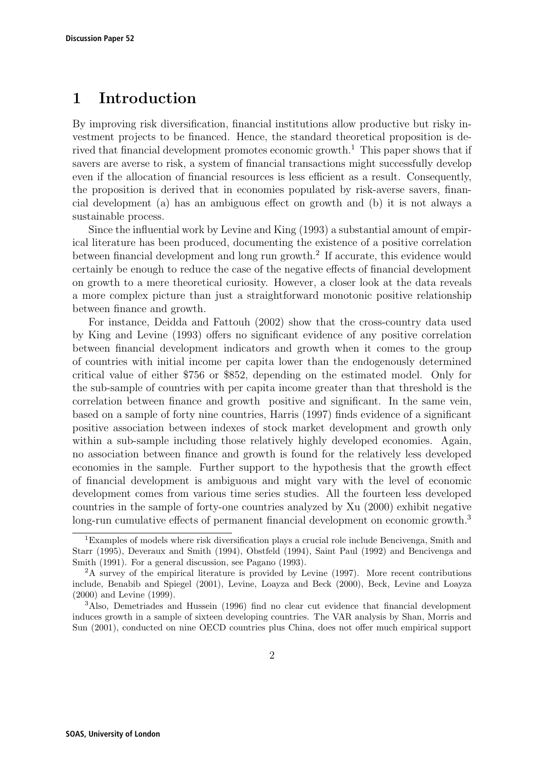### **1 Introduction**

By improving risk diversification, financial institutions allow productive but risky investment projects to be financed. Hence, the standard theoretical proposition is derived that financial development promotes economic growth.<sup>1</sup> This paper shows that if savers are averse to risk, a system of financial transactions might successfully develop even if the allocation of financial resources is less efficient as a result. Consequently, the proposition is derived that in economies populated by risk-averse savers, financial development (a) has an ambiguous effect on growth and (b) it is not always a sustainable process.

Since the influential work by Levine and King (1993) a substantial amount of empirical literature has been produced, documenting the existence of a positive correlation between financial development and long run growth.<sup>2</sup> If accurate, this evidence would certainly be enough to reduce the case of the negative effects of financial development on growth to a mere theoretical curiosity. However, a closer look at the data reveals a more complex picture than just a straightforward monotonic positive relationship between finance and growth.

For instance, Deidda and Fattouh (2002) show that the cross-country data used by King and Levine (1993) offers no significant evidence of any positive correlation between financial development indicators and growth when it comes to the group of countries with initial income per capita lower than the endogenously determined critical value of either \$756 or \$852, depending on the estimated model. Only for the sub-sample of countries with per capita income greater than that threshold is the correlation between finance and growth positive and significant. In the same vein, based on a sample of forty nine countries, Harris (1997) finds evidence of a significant positive association between indexes of stock market development and growth only within a sub-sample including those relatively highly developed economies. Again, no association between finance and growth is found for the relatively less developed economies in the sample. Further support to the hypothesis that the growth effect of financial development is ambiguous and might vary with the level of economic development comes from various time series studies. All the fourteen less developed countries in the sample of forty-one countries analyzed by Xu (2000) exhibit negative long-run cumulative effects of permanent financial development on economic growth.<sup>3</sup>

<sup>&</sup>lt;sup>1</sup>Examples of models where risk diversification plays a crucial role include Bencivenga, Smith and Starr (1995), Deveraux and Smith (1994), Obstfeld (1994), Saint Paul (1992) and Bencivenga and Smith (1991). For a general discussion, see Pagano (1993).

 $2A$  survey of the empirical literature is provided by Levine (1997). More recent contributions include, Benabib and Spiegel (2001), Levine, Loayza and Beck (2000), Beck, Levine and Loayza (2000) and Levine (1999).

<sup>3</sup>Also, Demetriades and Hussein (1996) find no clear cut evidence that financial development induces growth in a sample of sixteen developing countries. The VAR analysis by Shan, Morris and Sun (2001), conducted on nine OECD countries plus China, does not offer much empirical support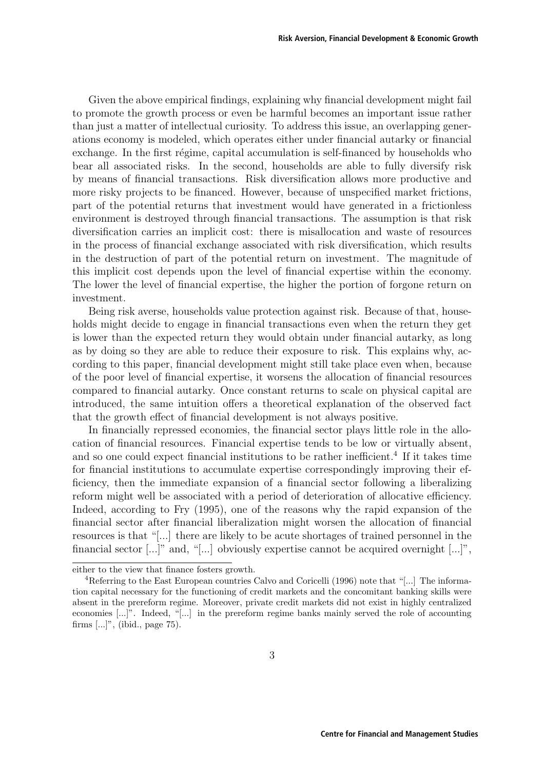Given the above empirical findings, explaining why financial development might fail to promote the growth process or even be harmful becomes an important issue rather than just a matter of intellectual curiosity. To address this issue, an overlapping generations economy is modeled, which operates either under financial autarky or financial exchange. In the first régime, capital accumulation is self-financed by households who bear all associated risks. In the second, households are able to fully diversify risk by means of financial transactions. Risk diversification allows more productive and more risky projects to be financed. However, because of unspecified market frictions, part of the potential returns that investment would have generated in a frictionless environment is destroyed through financial transactions. The assumption is that risk diversification carries an implicit cost: there is misallocation and waste of resources in the process of financial exchange associated with risk diversification, which results in the destruction of part of the potential return on investment. The magnitude of this implicit cost depends upon the level of financial expertise within the economy. The lower the level of financial expertise, the higher the portion of forgone return on investment.

Being risk averse, households value protection against risk. Because of that, households might decide to engage in financial transactions even when the return they get is lower than the expected return they would obtain under financial autarky, as long as by doing so they are able to reduce their exposure to risk. This explains why, according to this paper, financial development might still take place even when, because of the poor level of financial expertise, it worsens the allocation of financial resources compared to financial autarky. Once constant returns to scale on physical capital are introduced, the same intuition offers a theoretical explanation of the observed fact that the growth effect of financial development is not always positive.

In financially repressed economies, the financial sector plays little role in the allocation of financial resources. Financial expertise tends to be low or virtually absent, and so one could expect financial institutions to be rather inefficient.<sup>4</sup> If it takes time for financial institutions to accumulate expertise correspondingly improving their efficiency, then the immediate expansion of a financial sector following a liberalizing reform might well be associated with a period of deterioration of allocative efficiency. Indeed, according to Fry (1995), one of the reasons why the rapid expansion of the financial sector after financial liberalization might worsen the allocation of financial resources is that "[...] there are likely to be acute shortages of trained personnel in the financial sector [...]" and, "[...] obviously expertise cannot be acquired overnight [...]",

either to the view that finance fosters growth.

<sup>4</sup>Referring to the East European countries Calvo and Coricelli (1996) note that "[...] The information capital necessary for the functioning of credit markets and the concomitant banking skills were absent in the prereform regime. Moreover, private credit markets did not exist in highly centralized economies [...]". Indeed, "[...] in the prereform regime banks mainly served the role of accounting firms [...]", (ibid., page 75).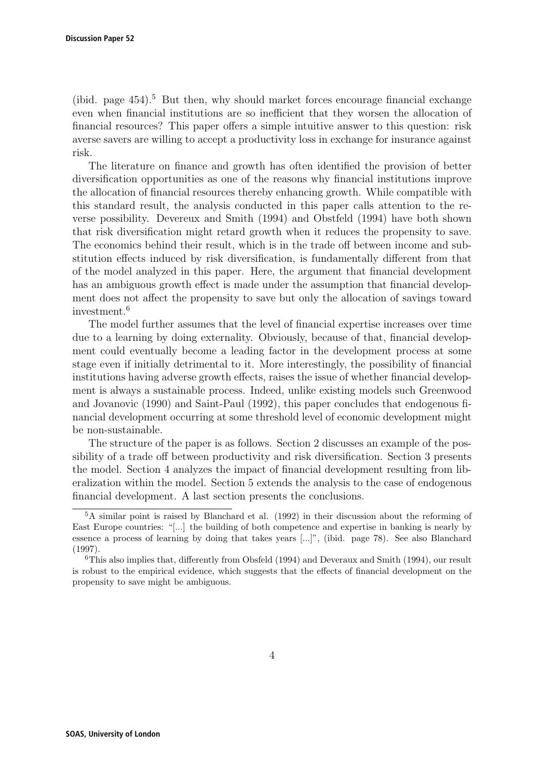(ibid. page  $454$ ).<sup>5</sup> But then, why should market forces encourage financial exchange even when financial institutions are so inefficient that they worsen the allocation of financial resources? This paper offers a simple intuitive answer to this question: risk averse savers are willing to accept a productivity loss in exchange for insurance against risk.

The literature on finance and growth has often identified the provision of better diversification opportunities as one of the reasons why financial institutions improve the allocation of financial resources thereby enhancing growth. While compatible with this standard result, the analysis conducted in this paper calls attention to the reverse possibility. Devereux and Smith (1994) and Obstfeld (1994) have both shown that risk diversification might retard growth when it reduces the propensity to save. The economics behind their result, which is in the trade off between income and substitution effects induced by risk diversification, is fundamentally different from that of the model analyzed in this paper. Here, the argument that financial development has an ambiguous growth effect is made under the assumption that financial development does not affect the propensity to save but only the allocation of savings toward investment.<sup>6</sup>

The model further assumes that the level of financial expertise increases over time due to a learning by doing externality. Obviously, because of that, financial development could eventually become a leading factor in the development process at some stage even if initially detrimental to it. More interestingly, the possibility of financial institutions having adverse growth effects, raises the issue of whether financial development is always a sustainable process. Indeed, unlike existing models such Greenwood and Jovanovic (1990) and Saint-Paul (1992), this paper concludes that endogenous financial development occurring at some threshold level of economic development might be non-sustainable.

The structure of the paper is as follows. Section 2 discusses an example of the possibility of a trade off between productivity and risk diversification. Section 3 presents the model. Section 4 analyzes the impact of financial development resulting from liberalization within the model. Section 5 extends the analysis to the case of endogenous financial development. A last section presents the conclusions.

<sup>5</sup>A similar point is raised by Blanchard et al. (1992) in their discussion about the reforming of East Europe countries: "[...] the building of both competence and expertise in banking is nearly by essence a process of learning by doing that takes years [...]", (ibid. page 78). See also Blanchard (1997).

 $6$ This also implies that, differently from Obsfeld (1994) and Deveraux and Smith (1994), our result is robust to the empirical evidence, which suggests that the effects of financial development on the propensity to save might be ambiguous.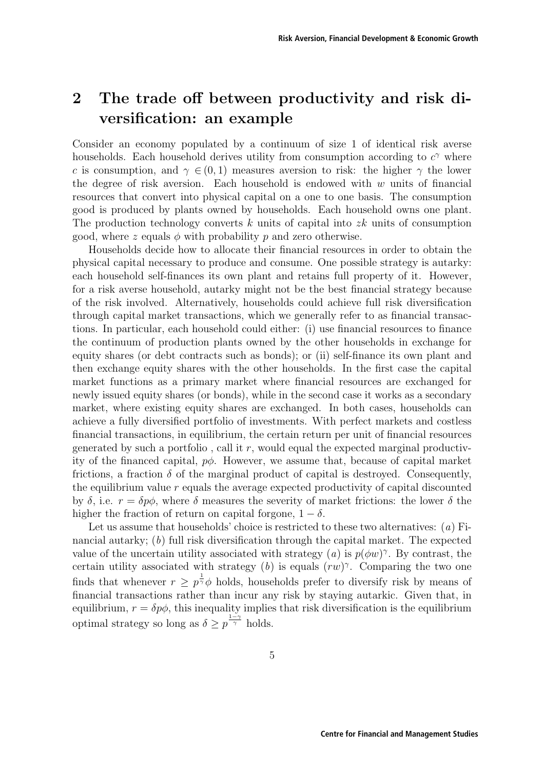## **2 The trade off between productivity and risk diversification: an example**

Consider an economy populated by a continuum of size 1 of identical risk averse households. Each household derives utility from consumption according to  $c^{\gamma}$  where c is consumption, and  $\gamma \in (0, 1)$  measures aversion to risk: the higher  $\gamma$  the lower the degree of risk aversion. Each household is endowed with  $w$  units of financial resources that convert into physical capital on a one to one basis. The consumption good is produced by plants owned by households. Each household owns one plant. The production technology converts k units of capital into  $z\bar{k}$  units of consumption good, where z equals  $\phi$  with probability p and zero otherwise.

Households decide how to allocate their financial resources in order to obtain the physical capital necessary to produce and consume. One possible strategy is autarky: each household self-finances its own plant and retains full property of it. However, for a risk averse household, autarky might not be the best financial strategy because of the risk involved. Alternatively, households could achieve full risk diversification through capital market transactions, which we generally refer to as financial transactions. In particular, each household could either: (i) use financial resources to finance the continuum of production plants owned by the other households in exchange for equity shares (or debt contracts such as bonds); or (ii) self-finance its own plant and then exchange equity shares with the other households. In the first case the capital market functions as a primary market where financial resources are exchanged for newly issued equity shares (or bonds), while in the second case it works as a secondary market, where existing equity shares are exchanged. In both cases, households can achieve a fully diversified portfolio of investments. With perfect markets and costless financial transactions, in equilibrium, the certain return per unit of financial resources generated by such a portfolio, call it  $r$ , would equal the expected marginal productivity of the financed capital,  $p\phi$ . However, we assume that, because of capital market frictions, a fraction  $\delta$  of the marginal product of capital is destroyed. Consequently, the equilibrium value r equals the average expected productivity of capital discounted by  $\delta$ , i.e.  $r = \delta p\phi$ , where  $\delta$  measures the severity of market frictions: the lower  $\delta$  the higher the fraction of return on capital forgone,  $1 - \delta$ .

Let us assume that households' choice is restricted to these two alternatives:  $(a)$  Financial autarky; (b) full risk diversification through the capital market. The expected value of the uncertain utility associated with strategy (a) is  $p(\phi w)^{\gamma}$ . By contrast, the certain utility associated with strategy (b) is equals  $(rw)^\gamma$ . Comparing the two one finds that whenever  $r \geq p^{\frac{1}{\gamma}}\phi$  holds, households prefer to diversify risk by means of financial transactions rather than incur any risk by staying autarkic. Given that, in equilibrium,  $r = \delta p\phi$ , this inequality implies that risk diversification is the equilibrium optimal strategy so long as  $\delta \geq p^{\frac{1-\gamma}{\gamma}}$  holds.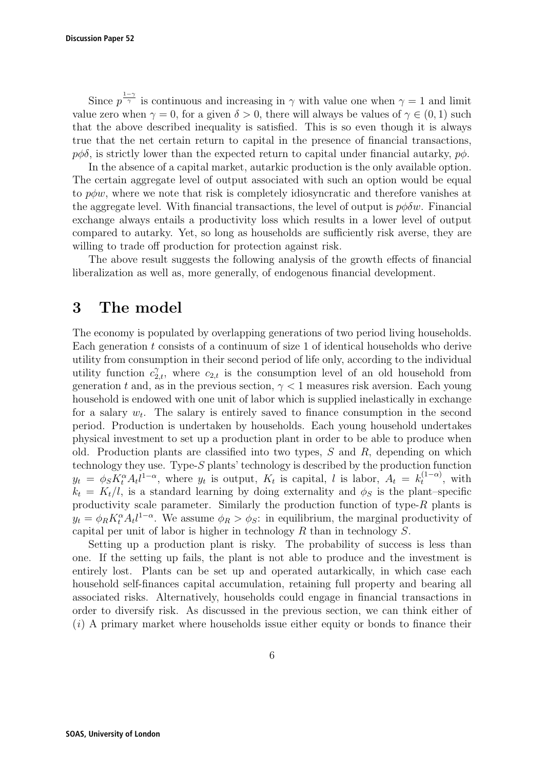Since  $p^{\frac{1-\gamma}{\gamma}}$  is continuous and increasing in  $\gamma$  with value one when  $\gamma = 1$  and limit value zero when  $\gamma = 0$ , for a given  $\delta > 0$ , there will always be values of  $\gamma \in (0, 1)$  such that the above described inequality is satisfied. This is so even though it is always true that the net certain return to capital in the presence of financial transactions,  $p\phi\delta$ , is strictly lower than the expected return to capital under financial autarky,  $p\phi$ .

In the absence of a capital market, autarkic production is the only available option. The certain aggregate level of output associated with such an option would be equal to  $p\phi w$ , where we note that risk is completely idiosyncratic and therefore vanishes at the aggregate level. With financial transactions, the level of output is  $p\phi\delta w$ . Financial exchange always entails a productivity loss which results in a lower level of output compared to autarky. Yet, so long as households are sufficiently risk averse, they are willing to trade off production for protection against risk.

The above result suggests the following analysis of the growth effects of financial liberalization as well as, more generally, of endogenous financial development.

## **3 The model**

The economy is populated by overlapping generations of two period living households. Each generation  $t$  consists of a continuum of size 1 of identical households who derive utility from consumption in their second period of life only, according to the individual utility function  $c_{2,t}^{\gamma}$ , where  $c_{2,t}$  is the consumption level of an old household from generation t and, as in the previous section,  $\gamma$  < 1 measures risk aversion. Each young household is endowed with one unit of labor which is supplied inelastically in exchange for a salary  $w_t$ . The salary is entirely saved to finance consumption in the second period. Production is undertaken by households. Each young household undertakes physical investment to set up a production plant in order to be able to produce when old. Production plants are classified into two types,  $S$  and  $R$ , depending on which technology they use. Type-S plants' technology is described by the production function  $y_t = \phi_S K_t^{\alpha} A_t l^{1-\alpha}$ , where  $y_t$  is output,  $K_t$  is capital, l is labor,  $A_t = k_t^{(1-\alpha)}$ , with  $k_t = K_t/l$ , is a standard learning by doing externality and  $\phi_S$  is the plant–specific productivity scale parameter. Similarly the production function of type-R plants is  $y_t = \phi_R K_t^{\alpha} A_t l^{1-\alpha}$ . We assume  $\phi_R > \phi_S$ : in equilibrium, the marginal productivity of capital per unit of labor is higher in technology  $R$  than in technology  $S$ .

Setting up a production plant is risky. The probability of success is less than one. If the setting up fails, the plant is not able to produce and the investment is entirely lost. Plants can be set up and operated autarkically, in which case each household self-finances capital accumulation, retaining full property and bearing all associated risks. Alternatively, households could engage in financial transactions in order to diversify risk. As discussed in the previous section, we can think either of  $(i)$  A primary market where households issue either equity or bonds to finance their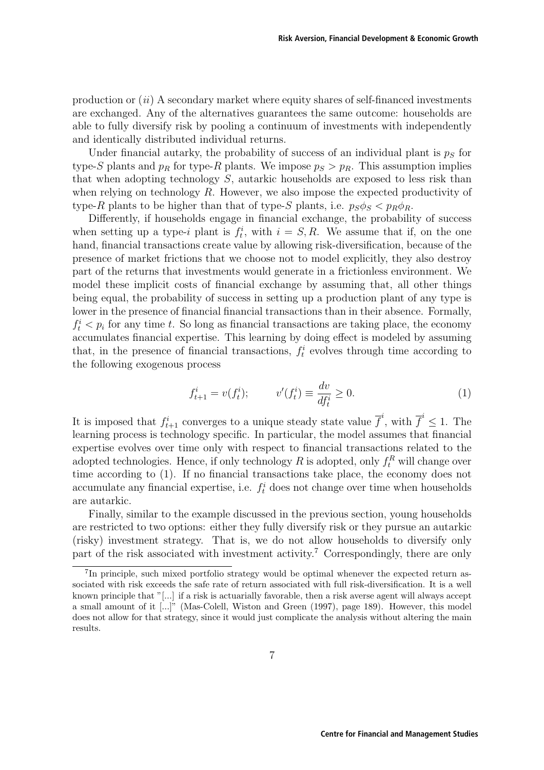production or  $(ii)$  A secondary market where equity shares of self-financed investments are exchanged. Any of the alternatives guarantees the same outcome: households are able to fully diversify risk by pooling a continuum of investments with independently and identically distributed individual returns.

Under financial autarky, the probability of success of an individual plant is  $p<sub>S</sub>$  for type-S plants and  $p_R$  for type-R plants. We impose  $p_S > p_R$ . This assumption implies that when adopting technology S, autarkic households are exposed to less risk than when relying on technology  $R$ . However, we also impose the expected productivity of type-R plants to be higher than that of type-S plants, i.e.  $p_S \phi_S < p_R \phi_R$ .

Differently, if households engage in financial exchange, the probability of success when setting up a type-i plant is  $f_t^i$ , with  $i = S, R$ . We assume that if, on the one hand, financial transactions create value by allowing risk-diversification, because of the presence of market frictions that we choose not to model explicitly, they also destroy part of the returns that investments would generate in a frictionless environment. We model these implicit costs of financial exchange by assuming that, all other things being equal, the probability of success in setting up a production plant of any type is lower in the presence of financial financial transactions than in their absence. Formally,  $f_t^i$   $\lt$   $p_i$  for any time t. So long as financial transactions are taking place, the economy accumulates financial expertise. This learning by doing effect is modeled by assuming that, in the presence of financial transactions,  $f_t^i$  evolves through time according to the following exogenous process

$$
f_{t+1}^i = v(f_t^i);
$$
  $v'(f_t^i) \equiv \frac{dv}{df_t^i} \ge 0.$  (1)

It is imposed that  $f_{t+1}^i$  converges to a unique steady state value  $\overline{f}^i$ , with  $\overline{f}^i \leq 1$ . The learning process is technology specific. In particular, the model assumes that financial expertise evolves over time only with respect to financial transactions related to the adopted technologies. Hence, if only technology  $R$  is adopted, only  $f_t^R$  will change over time according to (1). If no financial transactions take place, the economy does not accumulate any financial expertise, i.e.  $f_t^i$  does not change over time when households are autarkic.

Finally, similar to the example discussed in the previous section, young households are restricted to two options: either they fully diversify risk or they pursue an autarkic (risky) investment strategy. That is, we do not allow households to diversify only part of the risk associated with investment activity.<sup>7</sup> Correspondingly, there are only

<sup>7</sup>In principle, such mixed portfolio strategy would be optimal whenever the expected return associated with risk exceeds the safe rate of return associated with full risk-diversification. It is a well known principle that "[...] if a risk is actuarially favorable, then a risk averse agent will always accept a small amount of it [...]" (Mas-Colell, Wiston and Green (1997), page 189). However, this model does not allow for that strategy, since it would just complicate the analysis without altering the main results.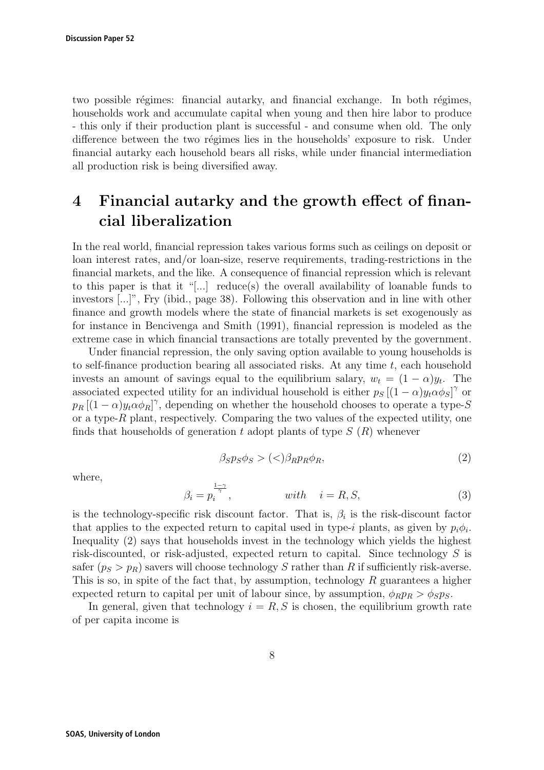two possible régimes: financial autarky, and financial exchange. In both régimes, households work and accumulate capital when young and then hire labor to produce - this only if their production plant is successful - and consume when old. The only difference between the two régimes lies in the households' exposure to risk. Under financial autarky each household bears all risks, while under financial intermediation all production risk is being diversified away.

## **4 Financial autarky and the growth effect of financial liberalization**

In the real world, financial repression takes various forms such as ceilings on deposit or loan interest rates, and/or loan-size, reserve requirements, trading-restrictions in the financial markets, and the like. A consequence of financial repression which is relevant to this paper is that it "[...] reduce(s) the overall availability of loanable funds to investors [...]", Fry (ibid., page 38). Following this observation and in line with other finance and growth models where the state of financial markets is set exogenously as for instance in Bencivenga and Smith (1991), financial repression is modeled as the extreme case in which financial transactions are totally prevented by the government.

Under financial repression, the only saving option available to young households is to self-finance production bearing all associated risks. At any time  $t$ , each household invests an amount of savings equal to the equilibrium salary,  $w_t = (1 - \alpha)y_t$ . The associated expected utility for an individual household is either  $p_S [(1 - \alpha) y_t \alpha \phi_S]^{\gamma}$  or  $p_R [(1 - \alpha) y_t \alpha \phi_R]^{\gamma}$ , depending on whether the household chooses to operate a type-S or a type- $R$  plant, respectively. Comparing the two values of the expected utility, one finds that households of generation t adopt plants of type  $S(R)$  whenever

$$
\beta_S p_S \phi_S > (<) \beta_R p_R \phi_R,\tag{2}
$$

where,

$$
\beta_i = p_i^{\frac{1-\gamma}{\gamma}}, \qquad \text{with} \quad i = R, S,
$$
\n
$$
(3)
$$

is the technology-specific risk discount factor. That is,  $\beta_i$  is the risk-discount factor that applies to the expected return to capital used in type-i plants, as given by  $p_i\phi_i$ . Inequality (2) says that households invest in the technology which yields the highest risk-discounted, or risk-adjusted, expected return to capital. Since technology S is safer  $(p_S > p_R)$  savers will choose technology S rather than R if sufficiently risk-averse. This is so, in spite of the fact that, by assumption, technology  $R$  guarantees a higher expected return to capital per unit of labour since, by assumption,  $\phi_R p_R > \phi_S p_S$ .

In general, given that technology  $i = R, S$  is chosen, the equilibrium growth rate of per capita income is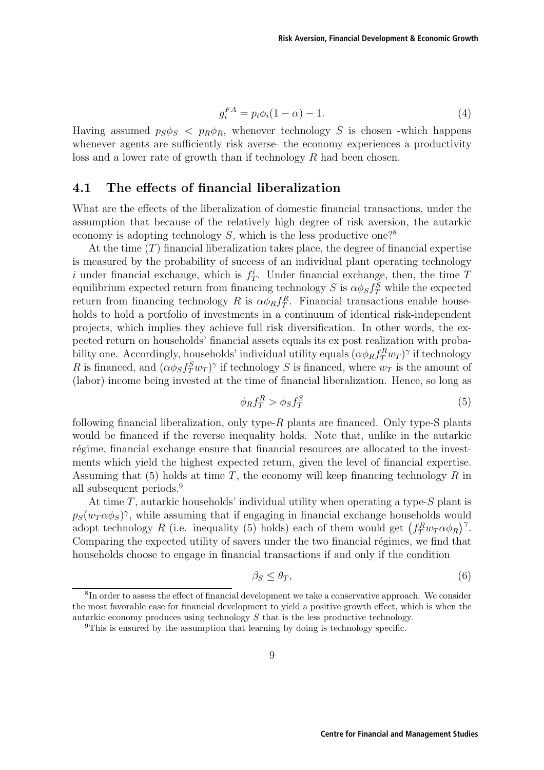$$
g_i^{FA} = p_i \phi_i (1 - \alpha) - 1. \tag{4}
$$

Having assumed  $p_S \phi_S$  <  $p_R \phi_R$ , whenever technology S is chosen -which happens whenever agents are sufficiently risk averse- the economy experiences a productivity loss and a lower rate of growth than if technology R had been chosen.

#### **4.1 The effects of financial liberalization**

What are the effects of the liberalization of domestic financial transactions, under the assumption that because of the relatively high degree of risk aversion, the autarkic economy is adopting technology  $S$ , which is the less productive one?<sup>8</sup>

At the time  $(T)$  financial liberalization takes place, the degree of financial expertise is measured by the probability of success of an individual plant operating technology i under financial exchange, which is  $f_T^i$ . Under financial exchange, then, the time T equilibrium expected return from financing technology S is  $\alpha \phi_S f_T^S$  while the expected return from financing technology R is  $\alpha \phi_R f_T^R$ . Financial transactions enable households to hold a portfolio of investments in a continuum of identical risk-independent projects, which implies they achieve full risk diversification. In other words, the expected return on households' financial assets equals its ex post realization with probability one. Accordingly, households' individual utility equals  $(\alpha \phi_R f_T^R w_T)^{\gamma}$  if technology R is financed, and  $(\alpha \phi_S f_T^S w_T)^\gamma$  if technology S is financed, where  $w_T$  is the amount of (labor) income being invested at the time of financial liberalization. Hence, so long as

$$
\phi_R f_T^R > \phi_S f_T^S \tag{5}
$$

following financial liberalization, only type-R plants are financed. Only type-S plants would be financed if the reverse inequality holds. Note that, unlike in the autarkic régime, financial exchange ensure that financial resources are allocated to the investments which yield the highest expected return, given the level of financial expertise. Assuming that  $(5)$  holds at time T, the economy will keep financing technology R in all subsequent periods.<sup>9</sup>

At time  $T$ , autarkic households' individual utility when operating a type- $S$  plant is  $p_S(w_T \alpha \phi_S)^\gamma$ , while assuming that if engaging in financial exchange households would adopt technology R (i.e. inequality (5) holds) each of them would get  $(f_T^R w_T \alpha \phi_R)^{\gamma}$ . Comparing the expected utility of savers under the two financial régimes, we find that households choose to engage in financial transactions if and only if the condition

$$
\beta_S \le \theta_T,\tag{6}
$$

<sup>&</sup>lt;sup>8</sup>In order to assess the effect of financial development we take a conservative approach. We consider the most favorable case for financial development to yield a positive growth effect, which is when the autarkic economy produces using technology  $S$  that is the less productive technology.

<sup>&</sup>lt;sup>9</sup>This is ensured by the assumption that learning by doing is technology specific.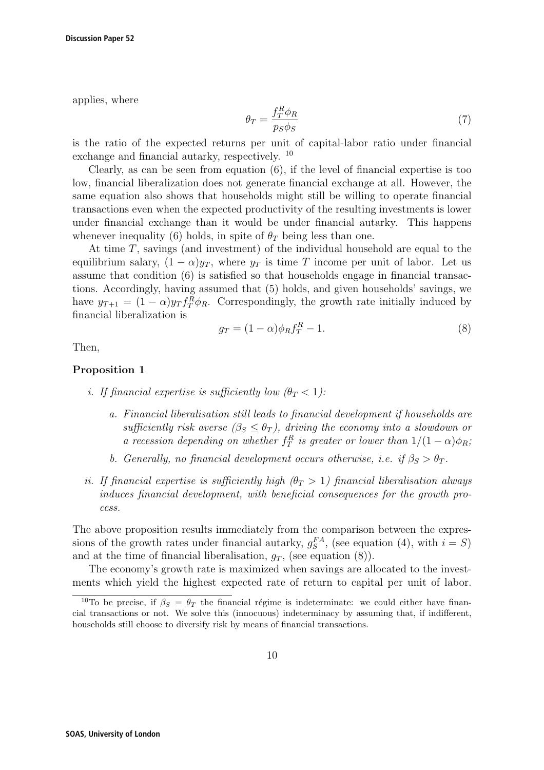applies, where

$$
\theta_T = \frac{f_T^R \phi_R}{p_S \phi_S} \tag{7}
$$

is the ratio of the expected returns per unit of capital-labor ratio under financial exchange and financial autarky, respectively. <sup>10</sup>

Clearly, as can be seen from equation (6), if the level of financial expertise is too low, financial liberalization does not generate financial exchange at all. However, the same equation also shows that households might still be willing to operate financial transactions even when the expected productivity of the resulting investments is lower under financial exchange than it would be under financial autarky. This happens whenever inequality (6) holds, in spite of  $\theta_T$  being less than one.

At time T, savings (and investment) of the individual household are equal to the equilibrium salary,  $(1 - \alpha)y_T$ , where  $y_T$  is time T income per unit of labor. Let us assume that condition (6) is satisfied so that households engage in financial transactions. Accordingly, having assumed that (5) holds, and given households' savings, we have  $y_{T+1} = (1 - \alpha)y_T f_T^R \phi_R$ . Correspondingly, the growth rate initially induced by financial liberalization is

$$
g_T = (1 - \alpha)\phi_R f_T^R - 1.
$$
\n(8)

Then,

#### **Proposition 1**

- i. If financial expertise is sufficiently low  $(\theta_T < 1)$ :
	- a. Financial liberalisation still leads to financial development if households are sufficiently risk averse  $(\beta_S \leq \theta_T)$ , driving the economy into a slowdown or a recession depending on whether  $f_T^R$  is greater or lower than  $1/(1-\alpha)\phi_R$ ;
	- b. Generally, no financial development occurs otherwise, i.e. if  $\beta_S > \theta_T$ .
- ii. If financial expertise is sufficiently high  $(\theta_T > 1)$  financial liberalisation always induces financial development, with beneficial consequences for the growth process.

The above proposition results immediately from the comparison between the expressions of the growth rates under financial autarky,  $g_S^{FA}$ , (see equation (4), with  $i = S$ ) and at the time of financial liberalisation,  $q_T$ , (see equation (8)).

The economy's growth rate is maximized when savings are allocated to the investments which yield the highest expected rate of return to capital per unit of labor.

<sup>&</sup>lt;sup>10</sup>To be precise, if  $\beta_S = \theta_T$  the financial régime is indeterminate: we could either have financial transactions or not. We solve this (innocuous) indeterminacy by assuming that, if indifferent, households still choose to diversify risk by means of financial transactions.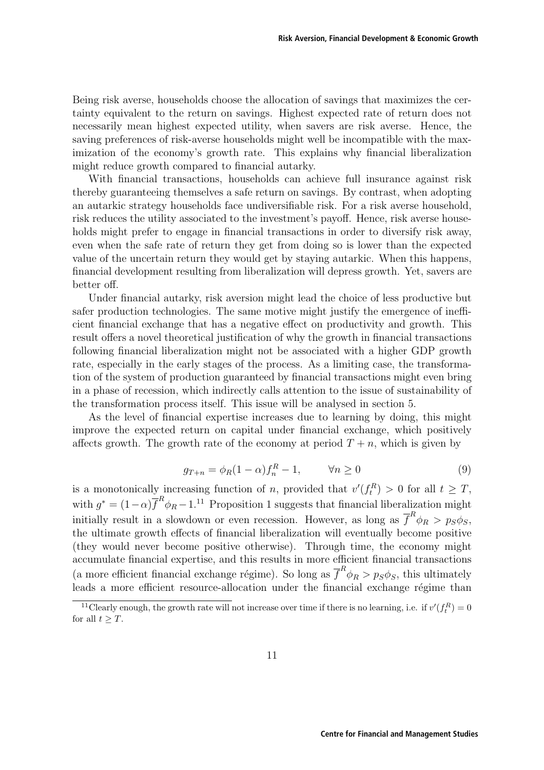Being risk averse, households choose the allocation of savings that maximizes the certainty equivalent to the return on savings. Highest expected rate of return does not necessarily mean highest expected utility, when savers are risk averse. Hence, the saving preferences of risk-averse households might well be incompatible with the maximization of the economy's growth rate. This explains why financial liberalization might reduce growth compared to financial autarky.

With financial transactions, households can achieve full insurance against risk thereby guaranteeing themselves a safe return on savings. By contrast, when adopting an autarkic strategy households face undiversifiable risk. For a risk averse household, risk reduces the utility associated to the investment's payoff. Hence, risk averse households might prefer to engage in financial transactions in order to diversify risk away, even when the safe rate of return they get from doing so is lower than the expected value of the uncertain return they would get by staying autarkic. When this happens, financial development resulting from liberalization will depress growth. Yet, savers are better off.

Under financial autarky, risk aversion might lead the choice of less productive but safer production technologies. The same motive might justify the emergence of inefficient financial exchange that has a negative effect on productivity and growth. This result offers a novel theoretical justification of why the growth in financial transactions following financial liberalization might not be associated with a higher GDP growth rate, especially in the early stages of the process. As a limiting case, the transformation of the system of production guaranteed by financial transactions might even bring in a phase of recession, which indirectly calls attention to the issue of sustainability of the transformation process itself. This issue will be analysed in section 5.

As the level of financial expertise increases due to learning by doing, this might improve the expected return on capital under financial exchange, which positively affects growth. The growth rate of the economy at period  $T + n$ , which is given by

$$
g_{T+n} = \phi_R (1 - \alpha) f_n^R - 1, \qquad \forall n \ge 0 \tag{9}
$$

is a monotonically increasing function of *n*, provided that  $v'(f_t^R) > 0$  for all  $t \geq T$ , with  $g^* = (1-\alpha)\overline{f}^R \phi_R - 1$ .<sup>11</sup> Proposition 1 suggests that financial liberalization might initially result in a slowdown or even recession. However, as long as  $\overline{f}^R \phi_R > p_S \phi_S$ , the ultimate growth effects of financial liberalization will eventually become positive (they would never become positive otherwise). Through time, the economy might accumulate financial expertise, and this results in more efficient financial transactions (a more efficient financial exchange régime). So long as  $\overline{f}^R \phi_R > p_S \phi_S$ , this ultimately  $\Gamma$  leads a more efficient resource-allocation under the financial exchange régime than

<sup>&</sup>lt;sup>11</sup>Clearly enough, the growth rate will not increase over time if there is no learning, i.e. if  $v'(f_t^R) = 0$ for all  $t > T$ .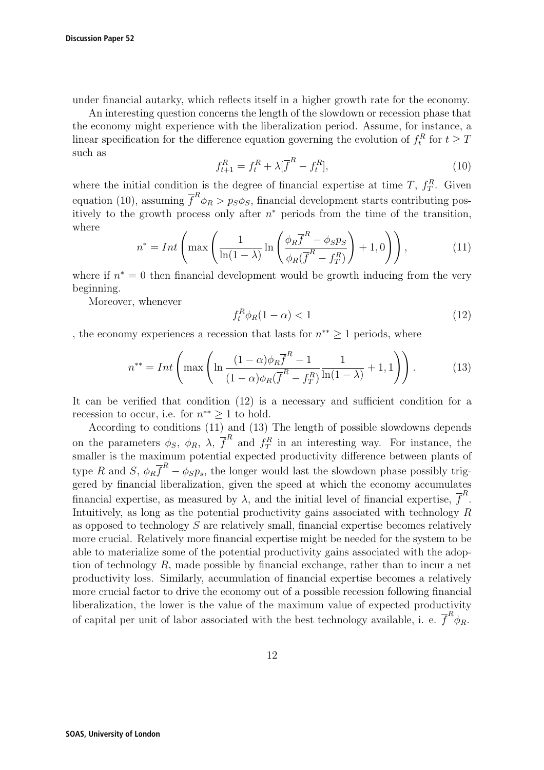under financial autarky, which reflects itself in a higher growth rate for the economy.

An interesting question concerns the length of the slowdown or recession phase that the economy might experience with the liberalization period. Assume, for instance, a linear specification for the difference equation governing the evolution of  $f_t^R$  for  $t \geq T$ such as

$$
f_{t+1}^R = f_t^R + \lambda [\overline{f}^R - f_t^R],
$$
\n(10)

where the initial condition is the degree of financial expertise at time  $T, f_T^R$ . Given equation (10), assuming  $\overline{f}^R \phi_R > p_S \phi_S$ , financial development starts contributing positively to the growth process only after  $n^*$  periods from the time of the transition, where

$$
n^* = Int\left(\max\left(\frac{1}{\ln(1-\lambda)}\ln\left(\frac{\phi_R\overline{f}^R - \phi_S p_S}{\phi_R(\overline{f}^R - f_T^R)}\right) + 1, 0\right)\right),\tag{11}
$$

where if  $n^* = 0$  then financial development would be growth inducing from the very beginning.

Moreover, whenever

$$
f_t^R \phi_R (1 - \alpha) < 1 \tag{12}
$$

, the economy experiences a recession that lasts for  $n^{**} \geq 1$  periods, where

$$
n^{**} = Int\left(\max\left(\ln\frac{(1-\alpha)\phi_R\overline{f}^R - 1}{(1-\alpha)\phi_R(\overline{f}^R - f_T^R)}\frac{1}{\ln(1-\lambda)} + 1,1\right)\right). \tag{13}
$$

It can be verified that condition (12) is a necessary and sufficient condition for a recession to occur, i.e. for  $n^{**} \geq 1$  to hold.

According to conditions (11) and (13) The length of possible slowdowns depends on the parameters  $\phi_S$ ,  $\phi_R$ ,  $\lambda$ ,  $\overline{f}^R$  and  $f_T^R$  in an interesting way. For instance, the smaller is the maximum potential expected productivity difference between plants of type R and S,  $\phi_R \overline{f}^R - \phi_S p_s$ , the longer would last the slowdown phase possibly triggered by financial liberalization, given the speed at which the economy accumulates financial expertise, as measured by  $\lambda$ , and the initial level of financial expertise,  $\overline{f}^R$ . Intuitively, as long as the potential productivity gains associated with technology  $R$ as opposed to technology S are relatively small, financial expertise becomes relatively more crucial. Relatively more financial expertise might be needed for the system to be able to materialize some of the potential productivity gains associated with the adoption of technology  $R$ , made possible by financial exchange, rather than to incur a net productivity loss. Similarly, accumulation of financial expertise becomes a relatively more crucial factor to drive the economy out of a possible recession following financial liberalization, the lower is the value of the maximum value of expected productivity of capital per unit of labor associated with the best technology available, i. e.  $\overline{f}^R \phi_R$ .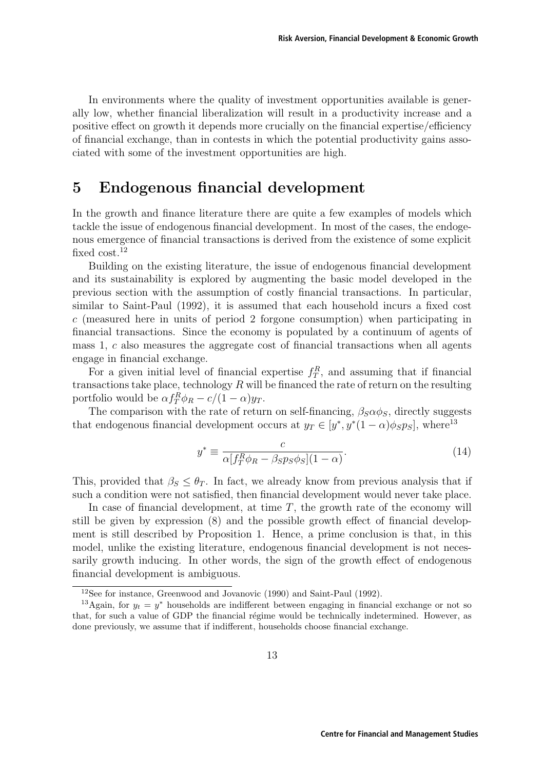In environments where the quality of investment opportunities available is generally low, whether financial liberalization will result in a productivity increase and a positive effect on growth it depends more crucially on the financial expertise/efficiency of financial exchange, than in contests in which the potential productivity gains associated with some of the investment opportunities are high.

### **5 Endogenous financial development**

In the growth and finance literature there are quite a few examples of models which tackle the issue of endogenous financial development. In most of the cases, the endogenous emergence of financial transactions is derived from the existence of some explicit fixed  $\cos t$ .<sup>12</sup>

Building on the existing literature, the issue of endogenous financial development and its sustainability is explored by augmenting the basic model developed in the previous section with the assumption of costly financial transactions. In particular, similar to Saint-Paul (1992), it is assumed that each household incurs a fixed cost  $c$  (measured here in units of period 2 forgone consumption) when participating in financial transactions. Since the economy is populated by a continuum of agents of mass 1, c also measures the aggregate cost of financial transactions when all agents engage in financial exchange.

For a given initial level of financial expertise  $f_T^R$ , and assuming that if financial transactions take place, technology  $R$  will be financed the rate of return on the resulting portfolio would be  $\alpha f_T^R \phi_R - c/(1-\alpha) y_T$ .

The comparison with the rate of return on self-financing,  $\beta_S \alpha \phi_S$ , directly suggests that endogenous financial development occurs at  $y_T \in [y^*, y^*(1-\alpha)\phi_S p_S]$ , where<sup>13</sup>

$$
y^* \equiv \frac{c}{\alpha [f_T^R \phi_R - \beta s p_s \phi_S](1 - \alpha)}.\tag{14}
$$

This, provided that  $\beta_S \leq \theta_T$ . In fact, we already know from previous analysis that if such a condition were not satisfied, then financial development would never take place.

In case of financial development, at time  $T$ , the growth rate of the economy will still be given by expression (8) and the possible growth effect of financial development is still described by Proposition 1. Hence, a prime conclusion is that, in this model, unlike the existing literature, endogenous financial development is not necessarily growth inducing. In other words, the sign of the growth effect of endogenous financial development is ambiguous.

<sup>12</sup>See for instance, Greenwood and Jovanovic (1990) and Saint-Paul (1992).

<sup>&</sup>lt;sup>13</sup>Again, for  $y_t = y^*$  households are indifferent between engaging in financial exchange or not so that, for such a value of GDP the financial régime would be technically indetermined. However, as done previously, we assume that if indifferent, households choose financial exchange.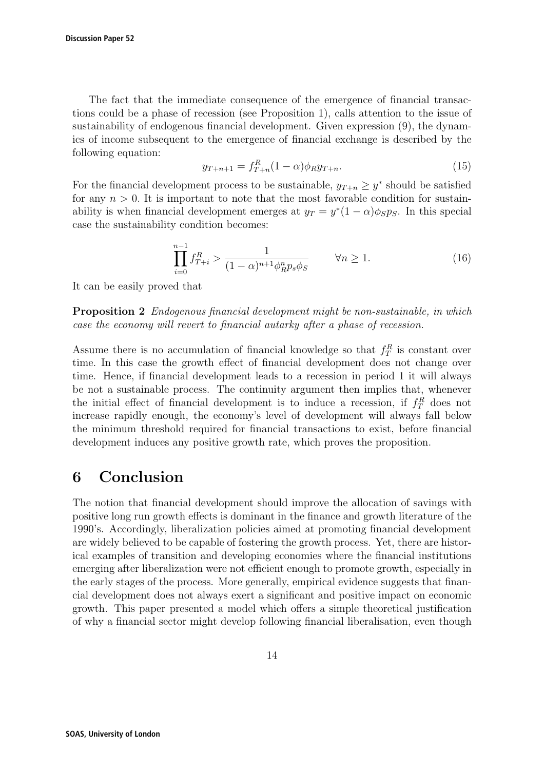The fact that the immediate consequence of the emergence of financial transactions could be a phase of recession (see Proposition 1), calls attention to the issue of sustainability of endogenous financial development. Given expression (9), the dynamics of income subsequent to the emergence of financial exchange is described by the following equation:

$$
y_{T+n+1} = f_{T+n}^R (1 - \alpha) \phi_R y_{T+n}.
$$
\n(15)

For the financial development process to be sustainable,  $y_{T+n} \geq y^*$  should be satisfied for any  $n > 0$ . It is important to note that the most favorable condition for sustainability is when financial development emerges at  $y_T = y^*(1 - \alpha)\phi_S p_S$ . In this special case the sustainability condition becomes:

$$
\prod_{i=0}^{n-1} f_{T+i}^R > \frac{1}{(1-\alpha)^{n+1} \phi_R^n p_s \phi_S} \qquad \forall n \ge 1. \tag{16}
$$

It can be easily proved that

**Proposition 2** Endogenous financial development might be non-sustainable, in which case the economy will revert to financial autarky after a phase of recession.

Assume there is no accumulation of financial knowledge so that  $f_T^R$  is constant over time. In this case the growth effect of financial development does not change over time. Hence, if financial development leads to a recession in period 1 it will always be not a sustainable process. The continuity argument then implies that, whenever the initial effect of financial development is to induce a recession, if  $f_T^R$  does not increase rapidly enough, the economy's level of development will always fall below the minimum threshold required for financial transactions to exist, before financial development induces any positive growth rate, which proves the proposition.

## **6 Conclusion**

The notion that financial development should improve the allocation of savings with positive long run growth effects is dominant in the finance and growth literature of the 1990's. Accordingly, liberalization policies aimed at promoting financial development are widely believed to be capable of fostering the growth process. Yet, there are historical examples of transition and developing economies where the financial institutions emerging after liberalization were not efficient enough to promote growth, especially in the early stages of the process. More generally, empirical evidence suggests that financial development does not always exert a significant and positive impact on economic growth. This paper presented a model which offers a simple theoretical justification of why a financial sector might develop following financial liberalisation, even though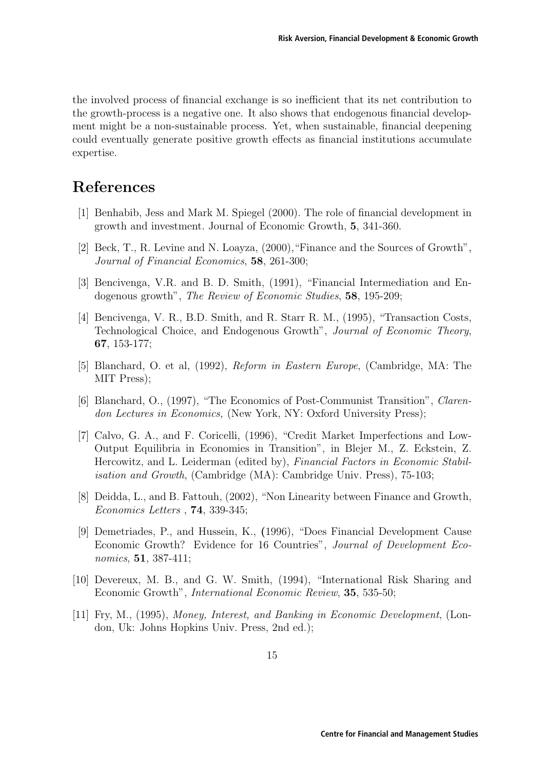the involved process of financial exchange is so inefficient that its net contribution to the growth-process is a negative one. It also shows that endogenous financial development might be a non-sustainable process. Yet, when sustainable, financial deepening could eventually generate positive growth effects as financial institutions accumulate expertise.

## **References**

- [1] Benhabib, Jess and Mark M. Spiegel (2000). The role of financial development in growth and investment. Journal of Economic Growth, **5**, 341-360.
- [2] Beck, T., R. Levine and N. Loayza, (2000),"Finance and the Sources of Growth", Journal of Financial Economics, **58**, 261-300;
- [3] Bencivenga, V.R. and B. D. Smith, (1991), "Financial Intermediation and Endogenous growth", The Review of Economic Studies, **58**, 195-209;
- [4] Bencivenga, V. R., B.D. Smith, and R. Starr R. M., (1995), "Transaction Costs, Technological Choice, and Endogenous Growth", Journal of Economic Theory, **67**, 153-177;
- [5] Blanchard, O. et al, (1992), Reform in Eastern Europe, (Cambridge, MA: The MIT Press);
- [6] Blanchard, O., (1997), "The Economics of Post-Communist Transition", Clarendon Lectures in Economics, (New York, NY: Oxford University Press);
- [7] Calvo, G. A., and F. Coricelli, (1996), "Credit Market Imperfections and Low-Output Equilibria in Economies in Transition", in Blejer M., Z. Eckstein, Z. Hercowitz, and L. Leiderman (edited by), Financial Factors in Economic Stabilisation and Growth, (Cambridge (MA): Cambridge Univ. Press), 75-103;
- [8] Deidda, L., and B. Fattouh, (2002), "Non Linearity between Finance and Growth, Economics Letters , **74**, 339-345;
- [9] Demetriades, P., and Hussein, K., **(**1996), "Does Financial Development Cause Economic Growth? Evidence for 16 Countries", Journal of Development Economics, **51**, 387-411;
- [10] Devereux, M. B., and G. W. Smith, (1994), "International Risk Sharing and Economic Growth", International Economic Review, **35**, 535-50;
- [11] Fry, M., (1995), Money, Interest, and Banking in Economic Development, (London, Uk: Johns Hopkins Univ. Press, 2nd ed.);